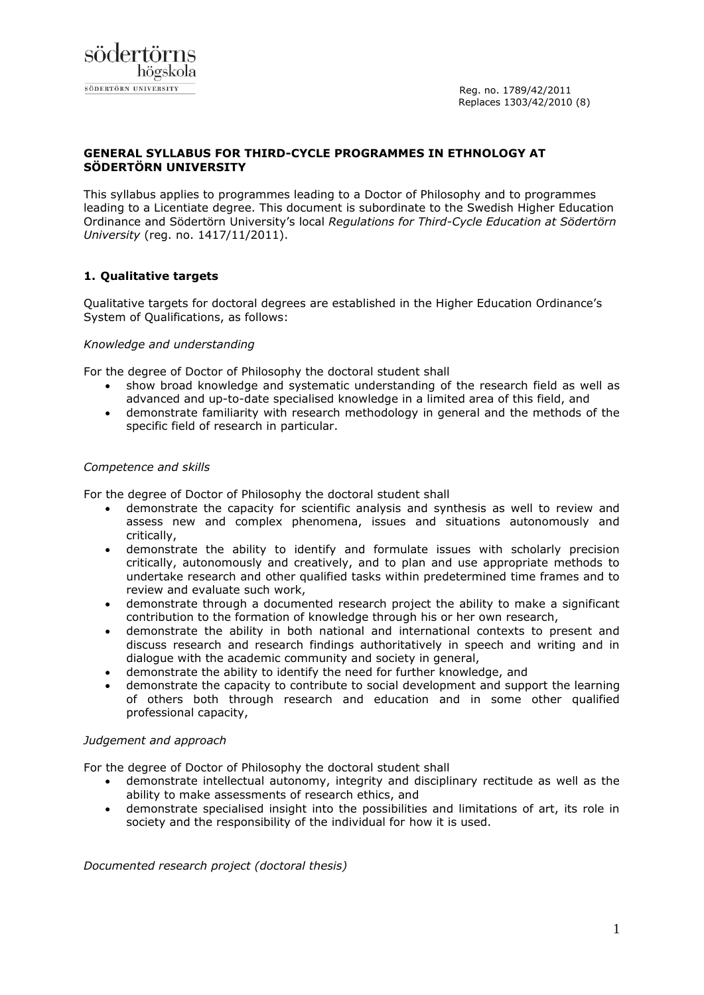# **GENERAL SYLLABUS FOR THIRD-CYCLE PROGRAMMES IN ETHNOLOGY AT SÖDERTÖRN UNIVERSITY**

This syllabus applies to programmes leading to a Doctor of Philosophy and to programmes leading to a Licentiate degree. This document is subordinate to the Swedish Higher Education Ordinance and Södertörn University's local *Regulations for Third-Cycle Education at Södertörn University* (reg. no. 1417/11/2011).

# **1. Qualitative targets**

Qualitative targets for doctoral degrees are established in the Higher Education Ordinance's System of Qualifications, as follows:

# *Knowledge and understanding*

For the degree of Doctor of Philosophy the doctoral student shall

- show broad knowledge and systematic understanding of the research field as well as advanced and up-to-date specialised knowledge in a limited area of this field, and
- demonstrate familiarity with research methodology in general and the methods of the specific field of research in particular.

### *Competence and skills*

For the degree of Doctor of Philosophy the doctoral student shall

- demonstrate the capacity for scientific analysis and synthesis as well to review and assess new and complex phenomena, issues and situations autonomously and critically,
- demonstrate the ability to identify and formulate issues with scholarly precision critically, autonomously and creatively, and to plan and use appropriate methods to undertake research and other qualified tasks within predetermined time frames and to review and evaluate such work,
- demonstrate through a documented research project the ability to make a significant contribution to the formation of knowledge through his or her own research,
- demonstrate the ability in both national and international contexts to present and discuss research and research findings authoritatively in speech and writing and in dialogue with the academic community and society in general,
- demonstrate the ability to identify the need for further knowledge, and
- demonstrate the capacity to contribute to social development and support the learning of others both through research and education and in some other qualified professional capacity,

# *Judgement and approach*

For the degree of Doctor of Philosophy the doctoral student shall

- demonstrate intellectual autonomy, integrity and disciplinary rectitude as well as the ability to make assessments of research ethics, and
- demonstrate specialised insight into the possibilities and limitations of art, its role in society and the responsibility of the individual for how it is used.

*Documented research project (doctoral thesis)*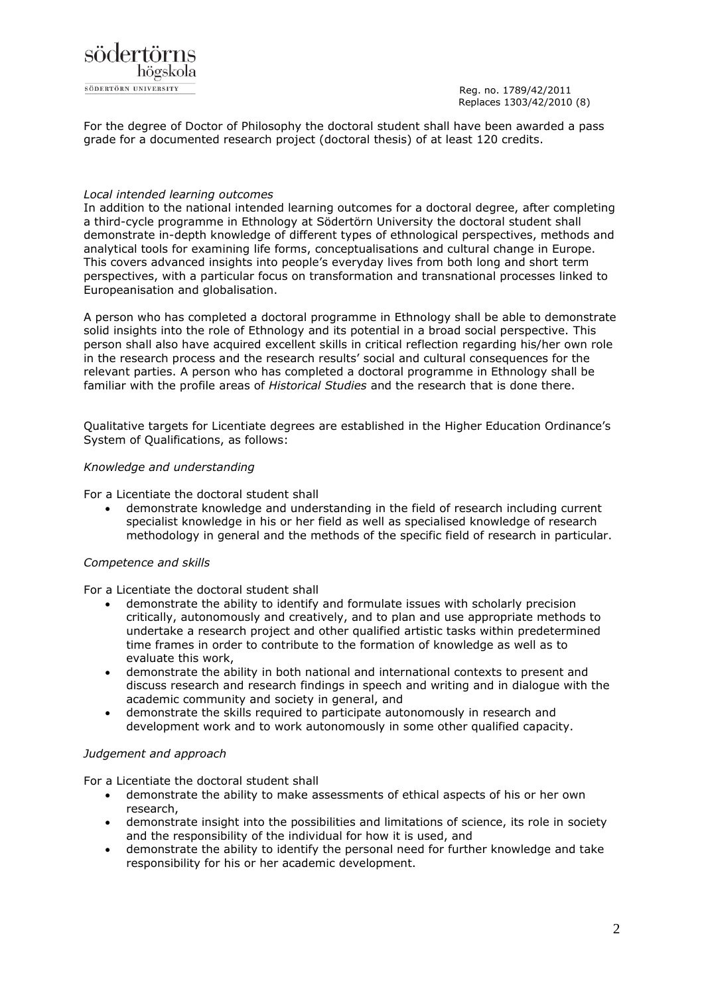

For the degree of Doctor of Philosophy the doctoral student shall have been awarded a pass grade for a documented research project (doctoral thesis) of at least 120 credits.

### *Local intended learning outcomes*

In addition to the national intended learning outcomes for a doctoral degree, after completing a third-cycle programme in Ethnology at Södertörn University the doctoral student shall demonstrate in-depth knowledge of different types of ethnological perspectives, methods and analytical tools for examining life forms, conceptualisations and cultural change in Europe. This covers advanced insights into people's everyday lives from both long and short term perspectives, with a particular focus on transformation and transnational processes linked to Europeanisation and globalisation.

A person who has completed a doctoral programme in Ethnology shall be able to demonstrate solid insights into the role of Ethnology and its potential in a broad social perspective. This person shall also have acquired excellent skills in critical reflection regarding his/her own role in the research process and the research results' social and cultural consequences for the relevant parties. A person who has completed a doctoral programme in Ethnology shall be familiar with the profile areas of *Historical Studies* and the research that is done there.

Qualitative targets for Licentiate degrees are established in the Higher Education Ordinance's System of Qualifications, as follows:

### *Knowledge and understanding*

For a Licentiate the doctoral student shall

 demonstrate knowledge and understanding in the field of research including current specialist knowledge in his or her field as well as specialised knowledge of research methodology in general and the methods of the specific field of research in particular.

# *Competence and skills*

For a Licentiate the doctoral student shall

- demonstrate the ability to identify and formulate issues with scholarly precision critically, autonomously and creatively, and to plan and use appropriate methods to undertake a research project and other qualified artistic tasks within predetermined time frames in order to contribute to the formation of knowledge as well as to evaluate this work,
- demonstrate the ability in both national and international contexts to present and discuss research and research findings in speech and writing and in dialogue with the academic community and society in general, and
- demonstrate the skills required to participate autonomously in research and development work and to work autonomously in some other qualified capacity.

### *Judgement and approach*

For a Licentiate the doctoral student shall

- demonstrate the ability to make assessments of ethical aspects of his or her own research,
- demonstrate insight into the possibilities and limitations of science, its role in society and the responsibility of the individual for how it is used, and
- demonstrate the ability to identify the personal need for further knowledge and take responsibility for his or her academic development.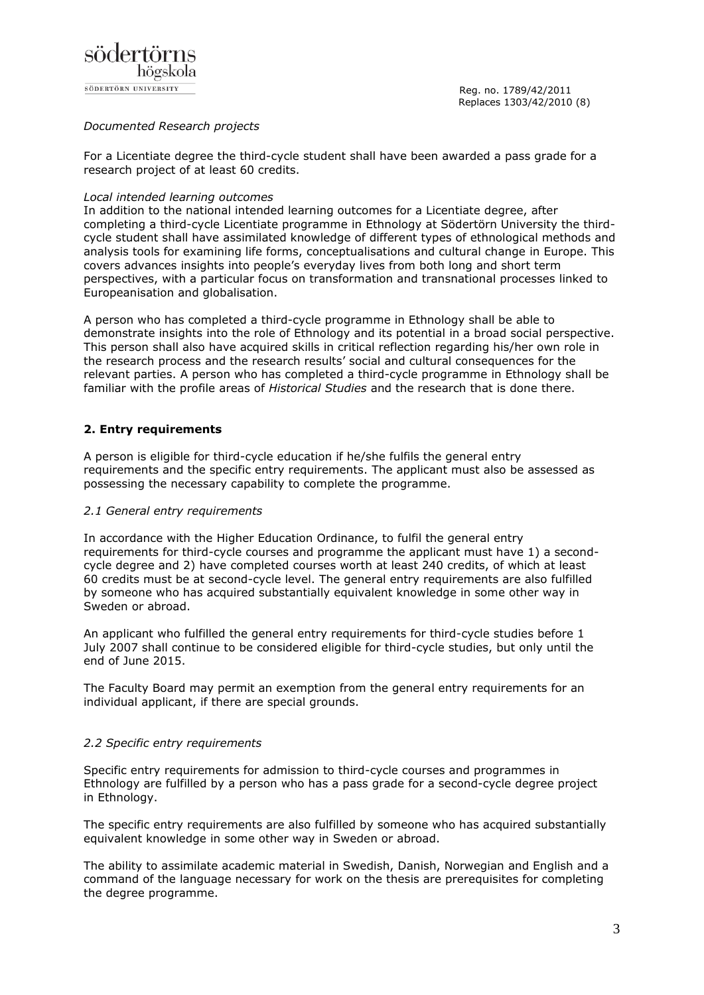

# *Documented Research projects*

For a Licentiate degree the third-cycle student shall have been awarded a pass grade for a research project of at least 60 credits.

### *Local intended learning outcomes*

In addition to the national intended learning outcomes for a Licentiate degree, after completing a third-cycle Licentiate programme in Ethnology at Södertörn University the thirdcycle student shall have assimilated knowledge of different types of ethnological methods and analysis tools for examining life forms, conceptualisations and cultural change in Europe. This covers advances insights into people's everyday lives from both long and short term perspectives, with a particular focus on transformation and transnational processes linked to Europeanisation and globalisation.

A person who has completed a third-cycle programme in Ethnology shall be able to demonstrate insights into the role of Ethnology and its potential in a broad social perspective. This person shall also have acquired skills in critical reflection regarding his/her own role in the research process and the research results' social and cultural consequences for the relevant parties. A person who has completed a third-cycle programme in Ethnology shall be familiar with the profile areas of *Historical Studies* and the research that is done there.

# **2. Entry requirements**

A person is eligible for third-cycle education if he/she fulfils the general entry requirements and the specific entry requirements. The applicant must also be assessed as possessing the necessary capability to complete the programme.

# *2.1 General entry requirements*

In accordance with the Higher Education Ordinance, to fulfil the general entry requirements for third-cycle courses and programme the applicant must have 1) a secondcycle degree and 2) have completed courses worth at least 240 credits, of which at least 60 credits must be at second-cycle level. The general entry requirements are also fulfilled by someone who has acquired substantially equivalent knowledge in some other way in Sweden or abroad.

An applicant who fulfilled the general entry requirements for third-cycle studies before 1 July 2007 shall continue to be considered eligible for third-cycle studies, but only until the end of June 2015.

The Faculty Board may permit an exemption from the general entry requirements for an individual applicant, if there are special grounds.

# *2.2 Specific entry requirements*

Specific entry requirements for admission to third-cycle courses and programmes in Ethnology are fulfilled by a person who has a pass grade for a second-cycle degree project in Ethnology.

The specific entry requirements are also fulfilled by someone who has acquired substantially equivalent knowledge in some other way in Sweden or abroad.

The ability to assimilate academic material in Swedish, Danish, Norwegian and English and a command of the language necessary for work on the thesis are prerequisites for completing the degree programme.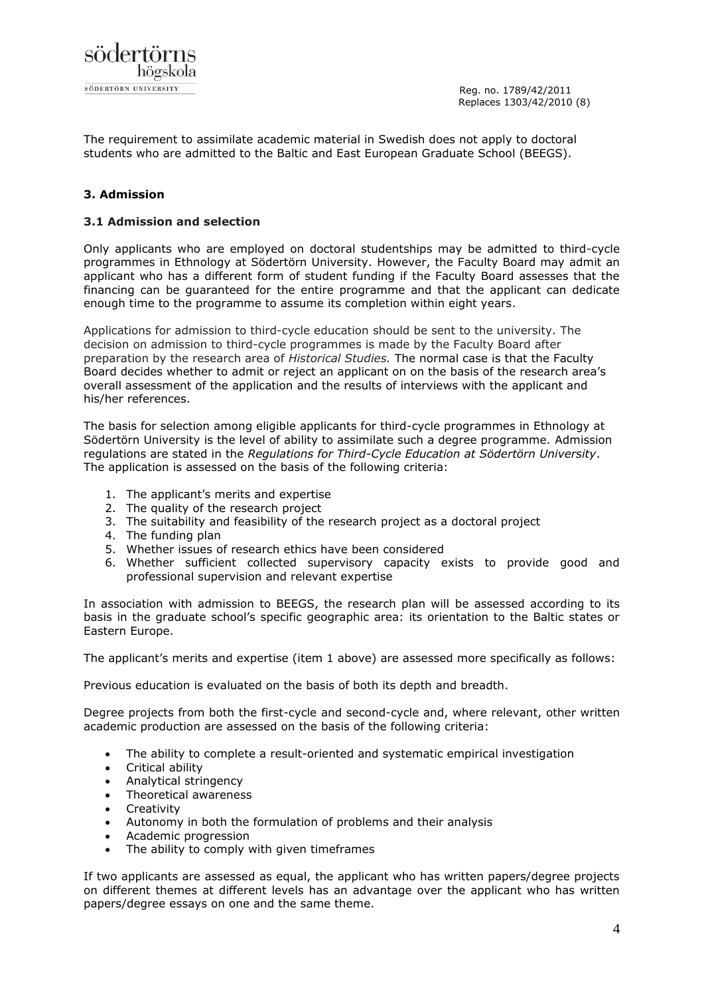

The requirement to assimilate academic material in Swedish does not apply to doctoral students who are admitted to the Baltic and East European Graduate School (BEEGS).

# **3. Admission**

### **3.1 Admission and selection**

Only applicants who are employed on doctoral studentships may be admitted to third-cycle programmes in Ethnology at Södertörn University. However, the Faculty Board may admit an applicant who has a different form of student funding if the Faculty Board assesses that the financing can be guaranteed for the entire programme and that the applicant can dedicate enough time to the programme to assume its completion within eight years.

Applications for admission to third-cycle education should be sent to the university. The decision on admission to third-cycle programmes is made by the Faculty Board after preparation by the research area of *Historical Studies.* The normal case is that the Faculty Board decides whether to admit or reject an applicant on on the basis of the research area's overall assessment of the application and the results of interviews with the applicant and his/her references.

The basis for selection among eligible applicants for third-cycle programmes in Ethnology at Södertörn University is the level of ability to assimilate such a degree programme. Admission regulations are stated in the *Regulations for Third-Cycle Education at Södertörn University*. The application is assessed on the basis of the following criteria:

- 1. The applicant's merits and expertise
- 2. The quality of the research project
- 3. The suitability and feasibility of the research project as a doctoral project
- 4. The funding plan
- 5. Whether issues of research ethics have been considered
- 6. Whether sufficient collected supervisory capacity exists to provide good and professional supervision and relevant expertise

In association with admission to BEEGS, the research plan will be assessed according to its basis in the graduate school's specific geographic area: its orientation to the Baltic states or Eastern Europe.

The applicant's merits and expertise (item 1 above) are assessed more specifically as follows:

Previous education is evaluated on the basis of both its depth and breadth.

Degree projects from both the first-cycle and second-cycle and, where relevant, other written academic production are assessed on the basis of the following criteria:

- The ability to complete a result-oriented and systematic empirical investigation
- Critical ability
- Analytical stringency
- Theoretical awareness
- **Creativity**
- Autonomy in both the formulation of problems and their analysis
- Academic progression
- The ability to comply with given timeframes

If two applicants are assessed as equal, the applicant who has written papers/degree projects on different themes at different levels has an advantage over the applicant who has written papers/degree essays on one and the same theme.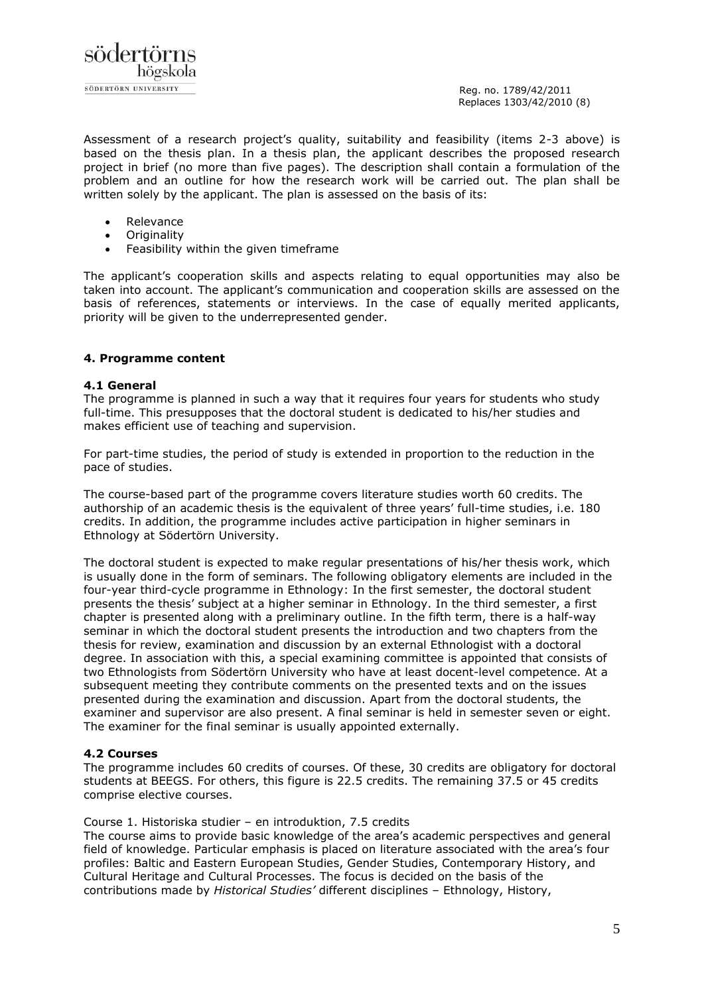

Assessment of a research project's quality, suitability and feasibility (items 2-3 above) is based on the thesis plan. In a thesis plan, the applicant describes the proposed research project in brief (no more than five pages). The description shall contain a formulation of the problem and an outline for how the research work will be carried out. The plan shall be written solely by the applicant. The plan is assessed on the basis of its:

- Relevance
- **Originality**
- Feasibility within the given timeframe

The applicant's cooperation skills and aspects relating to equal opportunities may also be taken into account. The applicant's communication and cooperation skills are assessed on the basis of references, statements or interviews. In the case of equally merited applicants, priority will be given to the underrepresented gender.

### **4. Programme content**

### **4.1 General**

The programme is planned in such a way that it requires four years for students who study full-time. This presupposes that the doctoral student is dedicated to his/her studies and makes efficient use of teaching and supervision.

For part-time studies, the period of study is extended in proportion to the reduction in the pace of studies.

The course-based part of the programme covers literature studies worth 60 credits. The authorship of an academic thesis is the equivalent of three years' full-time studies, i.e. 180 credits. In addition, the programme includes active participation in higher seminars in Ethnology at Södertörn University.

The doctoral student is expected to make regular presentations of his/her thesis work, which is usually done in the form of seminars. The following obligatory elements are included in the four-year third-cycle programme in Ethnology: In the first semester, the doctoral student presents the thesis' subject at a higher seminar in Ethnology. In the third semester, a first chapter is presented along with a preliminary outline. In the fifth term, there is a half-way seminar in which the doctoral student presents the introduction and two chapters from the thesis for review, examination and discussion by an external Ethnologist with a doctoral degree. In association with this, a special examining committee is appointed that consists of two Ethnologists from Södertörn University who have at least docent-level competence. At a subsequent meeting they contribute comments on the presented texts and on the issues presented during the examination and discussion. Apart from the doctoral students, the examiner and supervisor are also present. A final seminar is held in semester seven or eight. The examiner for the final seminar is usually appointed externally.

### **4.2 Courses**

The programme includes 60 credits of courses. Of these, 30 credits are obligatory for doctoral students at BEEGS. For others, this figure is 22.5 credits. The remaining 37.5 or 45 credits comprise elective courses.

### Course 1. Historiska studier – en introduktion, 7.5 credits

The course aims to provide basic knowledge of the area's academic perspectives and general field of knowledge. Particular emphasis is placed on literature associated with the area's four profiles: Baltic and Eastern European Studies, Gender Studies, Contemporary History, and Cultural Heritage and Cultural Processes. The focus is decided on the basis of the contributions made by *Historical Studies'* different disciplines – Ethnology, History,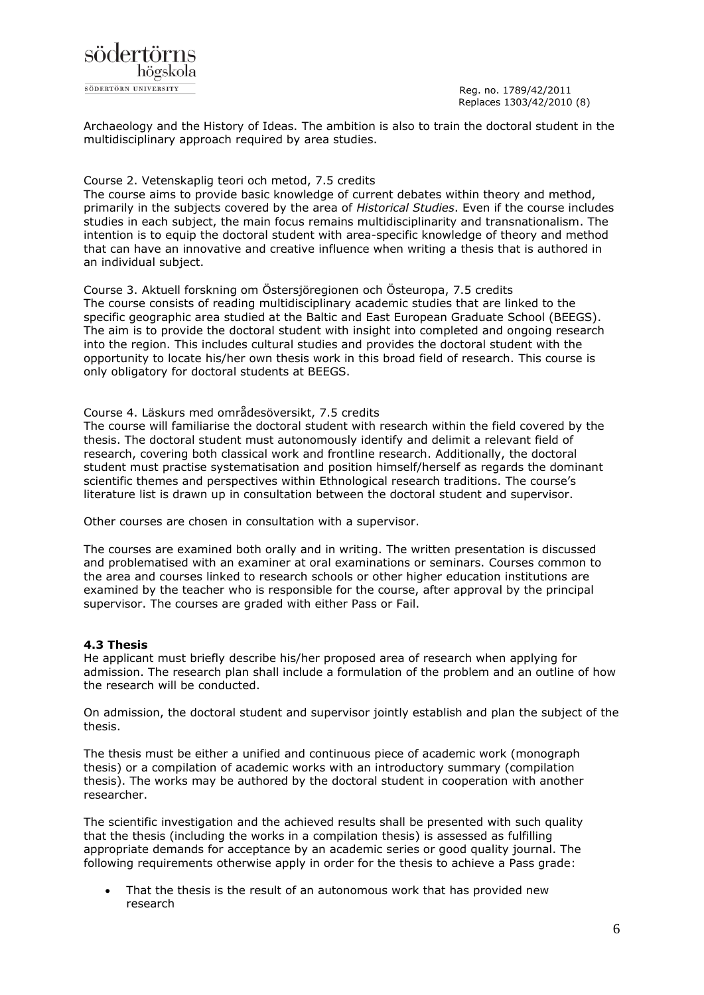

Archaeology and the History of Ideas. The ambition is also to train the doctoral student in the multidisciplinary approach required by area studies.

### Course 2. Vetenskaplig teori och metod, 7.5 credits

The course aims to provide basic knowledge of current debates within theory and method, primarily in the subjects covered by the area of *Historical Studies*. Even if the course includes studies in each subject, the main focus remains multidisciplinarity and transnationalism. The intention is to equip the doctoral student with area-specific knowledge of theory and method that can have an innovative and creative influence when writing a thesis that is authored in an individual subject.

Course 3. Aktuell forskning om Östersjöregionen och Östeuropa, 7.5 credits The course consists of reading multidisciplinary academic studies that are linked to the specific geographic area studied at the Baltic and East European Graduate School (BEEGS). The aim is to provide the doctoral student with insight into completed and ongoing research into the region. This includes cultural studies and provides the doctoral student with the opportunity to locate his/her own thesis work in this broad field of research. This course is only obligatory for doctoral students at BEEGS.

### Course 4. Läskurs med områdesöversikt, 7.5 credits

The course will familiarise the doctoral student with research within the field covered by the thesis. The doctoral student must autonomously identify and delimit a relevant field of research, covering both classical work and frontline research. Additionally, the doctoral student must practise systematisation and position himself/herself as regards the dominant scientific themes and perspectives within Ethnological research traditions. The course's literature list is drawn up in consultation between the doctoral student and supervisor.

Other courses are chosen in consultation with a supervisor.

The courses are examined both orally and in writing. The written presentation is discussed and problematised with an examiner at oral examinations or seminars. Courses common to the area and courses linked to research schools or other higher education institutions are examined by the teacher who is responsible for the course, after approval by the principal supervisor. The courses are graded with either Pass or Fail.

# **4.3 Thesis**

He applicant must briefly describe his/her proposed area of research when applying for admission. The research plan shall include a formulation of the problem and an outline of how the research will be conducted.

On admission, the doctoral student and supervisor jointly establish and plan the subject of the thesis.

The thesis must be either a unified and continuous piece of academic work (monograph thesis) or a compilation of academic works with an introductory summary (compilation thesis). The works may be authored by the doctoral student in cooperation with another researcher.

The scientific investigation and the achieved results shall be presented with such quality that the thesis (including the works in a compilation thesis) is assessed as fulfilling appropriate demands for acceptance by an academic series or good quality journal. The following requirements otherwise apply in order for the thesis to achieve a Pass grade:

 That the thesis is the result of an autonomous work that has provided new research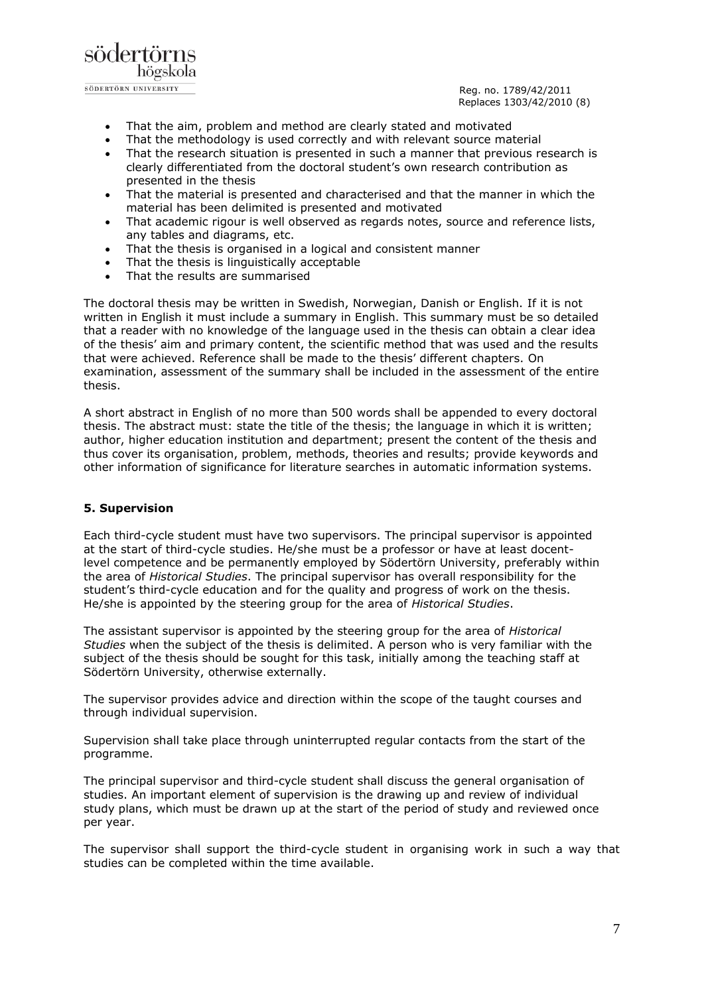

- That the aim, problem and method are clearly stated and motivated
- That the methodology is used correctly and with relevant source material
- That the research situation is presented in such a manner that previous research is clearly differentiated from the doctoral student's own research contribution as presented in the thesis
- That the material is presented and characterised and that the manner in which the material has been delimited is presented and motivated
- That academic rigour is well observed as regards notes, source and reference lists, any tables and diagrams, etc.
- That the thesis is organised in a logical and consistent manner
- That the thesis is linguistically acceptable
- That the results are summarised

The doctoral thesis may be written in Swedish, Norwegian, Danish or English. If it is not written in English it must include a summary in English. This summary must be so detailed that a reader with no knowledge of the language used in the thesis can obtain a clear idea of the thesis' aim and primary content, the scientific method that was used and the results that were achieved. Reference shall be made to the thesis' different chapters. On examination, assessment of the summary shall be included in the assessment of the entire thesis.

A short abstract in English of no more than 500 words shall be appended to every doctoral thesis. The abstract must: state the title of the thesis; the language in which it is written; author, higher education institution and department; present the content of the thesis and thus cover its organisation, problem, methods, theories and results; provide keywords and other information of significance for literature searches in automatic information systems.

# **5. Supervision**

Each third-cycle student must have two supervisors. The principal supervisor is appointed at the start of third-cycle studies. He/she must be a professor or have at least docentlevel competence and be permanently employed by Södertörn University, preferably within the area of *Historical Studies*. The principal supervisor has overall responsibility for the student's third-cycle education and for the quality and progress of work on the thesis. He/she is appointed by the steering group for the area of *Historical Studies*.

The assistant supervisor is appointed by the steering group for the area of *Historical Studies* when the subject of the thesis is delimited. A person who is very familiar with the subject of the thesis should be sought for this task, initially among the teaching staff at Södertörn University, otherwise externally.

The supervisor provides advice and direction within the scope of the taught courses and through individual supervision.

Supervision shall take place through uninterrupted regular contacts from the start of the programme.

The principal supervisor and third-cycle student shall discuss the general organisation of studies. An important element of supervision is the drawing up and review of individual study plans, which must be drawn up at the start of the period of study and reviewed once per year.

The supervisor shall support the third-cycle student in organising work in such a way that studies can be completed within the time available.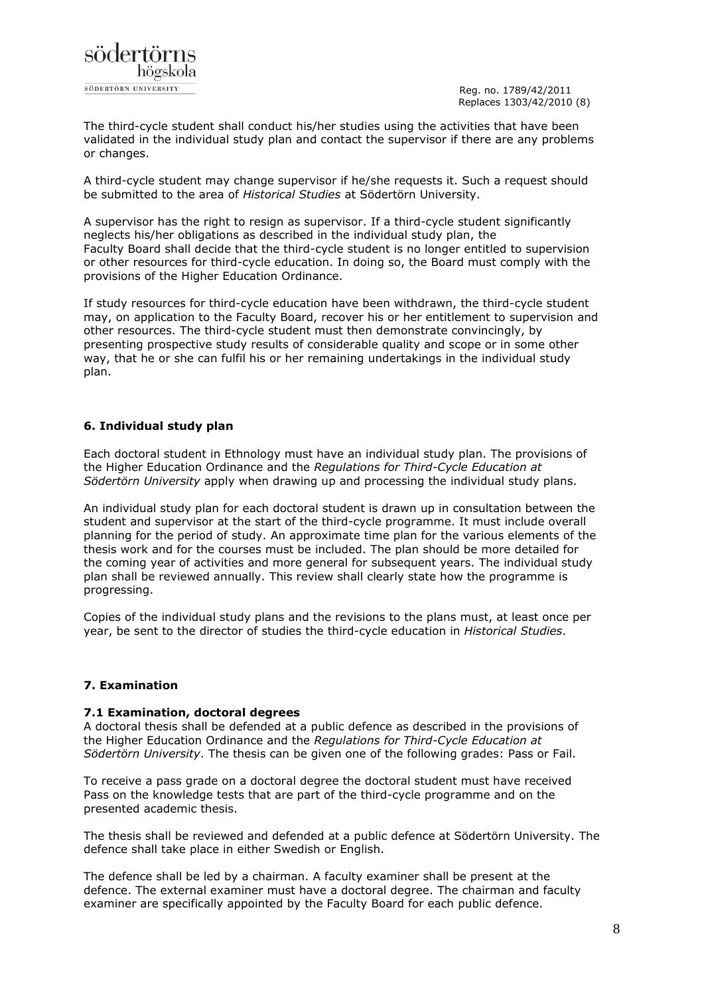

The third-cycle student shall conduct his/her studies using the activities that have been validated in the individual study plan and contact the supervisor if there are any problems or changes.

A third-cycle student may change supervisor if he/she requests it. Such a request should be submitted to the area of *Historical Studies* at Södertörn University.

A supervisor has the right to resign as supervisor. If a third-cycle student significantly neglects his/her obligations as described in the individual study plan, the Faculty Board shall decide that the third-cycle student is no longer entitled to supervision or other resources for third-cycle education. In doing so, the Board must comply with the provisions of the Higher Education Ordinance.

If study resources for third-cycle education have been withdrawn, the third-cycle student may, on application to the Faculty Board, recover his or her entitlement to supervision and other resources. The third-cycle student must then demonstrate convincingly, by presenting prospective study results of considerable quality and scope or in some other way, that he or she can fulfil his or her remaining undertakings in the individual study plan.

# **6. Individual study plan**

Each doctoral student in Ethnology must have an individual study plan. The provisions of the Higher Education Ordinance and the *Regulations for Third-Cycle Education at Södertörn University* apply when drawing up and processing the individual study plans.

An individual study plan for each doctoral student is drawn up in consultation between the student and supervisor at the start of the third-cycle programme. It must include overall planning for the period of study. An approximate time plan for the various elements of the thesis work and for the courses must be included. The plan should be more detailed for the coming year of activities and more general for subsequent years. The individual study plan shall be reviewed annually. This review shall clearly state how the programme is progressing.

Copies of the individual study plans and the revisions to the plans must, at least once per year, be sent to the director of studies the third-cycle education in *Historical Studies*.

### **7. Examination**

### **7.1 Examination, doctoral degrees**

A doctoral thesis shall be defended at a public defence as described in the provisions of the Higher Education Ordinance and the *Regulations for Third-Cycle Education at Södertörn University*. The thesis can be given one of the following grades: Pass or Fail.

To receive a pass grade on a doctoral degree the doctoral student must have received Pass on the knowledge tests that are part of the third-cycle programme and on the presented academic thesis.

The thesis shall be reviewed and defended at a public defence at Södertörn University. The defence shall take place in either Swedish or English.

The defence shall be led by a chairman. A faculty examiner shall be present at the defence. The external examiner must have a doctoral degree. The chairman and faculty examiner are specifically appointed by the Faculty Board for each public defence.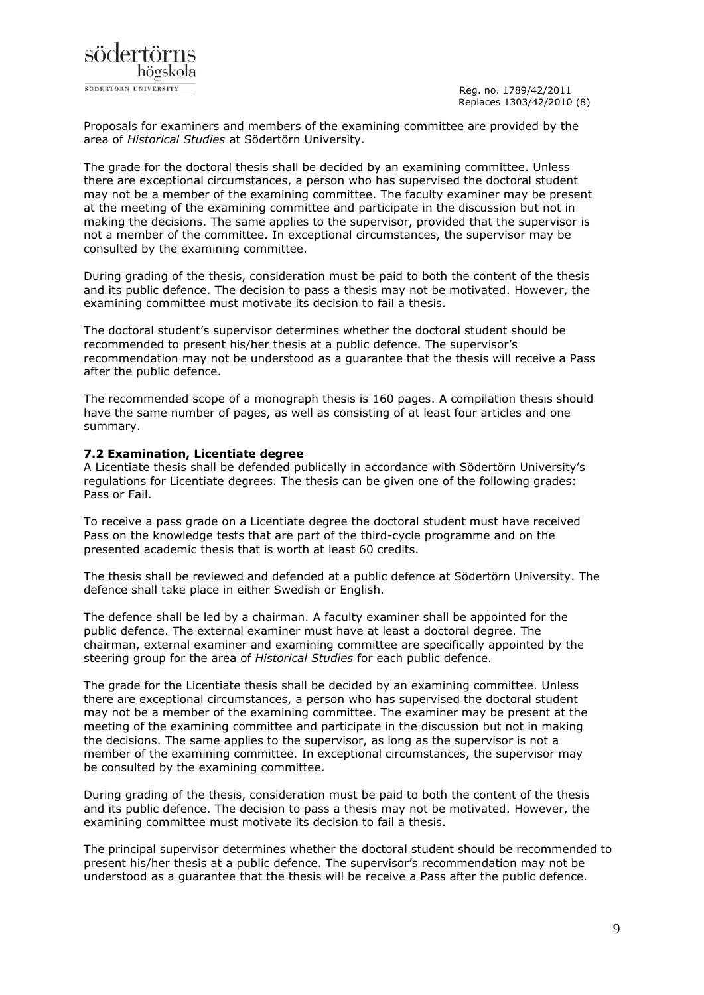

Proposals for examiners and members of the examining committee are provided by the area of *Historical Studies* at Södertörn University.

The grade for the doctoral thesis shall be decided by an examining committee. Unless there are exceptional circumstances, a person who has supervised the doctoral student may not be a member of the examining committee. The faculty examiner may be present at the meeting of the examining committee and participate in the discussion but not in making the decisions. The same applies to the supervisor, provided that the supervisor is not a member of the committee. In exceptional circumstances, the supervisor may be consulted by the examining committee.

During grading of the thesis, consideration must be paid to both the content of the thesis and its public defence. The decision to pass a thesis may not be motivated. However, the examining committee must motivate its decision to fail a thesis.

The doctoral student's supervisor determines whether the doctoral student should be recommended to present his/her thesis at a public defence. The supervisor's recommendation may not be understood as a guarantee that the thesis will receive a Pass after the public defence.

The recommended scope of a monograph thesis is 160 pages. A compilation thesis should have the same number of pages, as well as consisting of at least four articles and one summary.

### **7.2 Examination, Licentiate degree**

A Licentiate thesis shall be defended publically in accordance with Södertörn University's regulations for Licentiate degrees. The thesis can be given one of the following grades: Pass or Fail.

To receive a pass grade on a Licentiate degree the doctoral student must have received Pass on the knowledge tests that are part of the third-cycle programme and on the presented academic thesis that is worth at least 60 credits.

The thesis shall be reviewed and defended at a public defence at Södertörn University. The defence shall take place in either Swedish or English.

The defence shall be led by a chairman. A faculty examiner shall be appointed for the public defence. The external examiner must have at least a doctoral degree. The chairman, external examiner and examining committee are specifically appointed by the steering group for the area of *Historical Studies* for each public defence.

The grade for the Licentiate thesis shall be decided by an examining committee. Unless there are exceptional circumstances, a person who has supervised the doctoral student may not be a member of the examining committee. The examiner may be present at the meeting of the examining committee and participate in the discussion but not in making the decisions. The same applies to the supervisor, as long as the supervisor is not a member of the examining committee. In exceptional circumstances, the supervisor may be consulted by the examining committee.

During grading of the thesis, consideration must be paid to both the content of the thesis and its public defence. The decision to pass a thesis may not be motivated. However, the examining committee must motivate its decision to fail a thesis.

The principal supervisor determines whether the doctoral student should be recommended to present his/her thesis at a public defence. The supervisor's recommendation may not be understood as a guarantee that the thesis will be receive a Pass after the public defence.